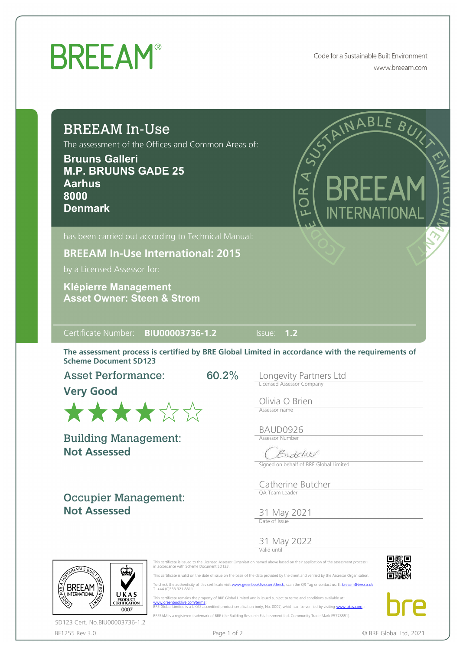## **BREEAM®**

Code for a Sustainable Built Environment www.breeam.com

## BREEAM In-Use

The assessment of the Offices and Common Areas of:

**Bruuns Galleri M.P. BRUUNS GADE 25 Aarhus 8000 Denmark**



**BREEAM In-Use International: 2015**

by a Licensed Assessor for:

**Asset Owner: Steen & Strom Klépierre Management**

Certificate Number: **BIU00003736-1.2** Issue: **1.2**

The assessment process is certified by BRE Global Limited in accordance with the requirements of Scheme Document SD123

60.2%

Asset Performance:

**Very Good**



**Not Assessed** Building Management:

Occupier Management: **Not Assessed**

Longevity Partners Ltd Licensed Assessor Company

Olivia O Brien Assessor name

BAUD0926 Assessor Number

Butchel

Signed on behalf of BRE Global Limited

Catherine Butcher QA Team Leader

31 May 2021 Date of Issue

31 May 2022 Valid until

This certificate is issued to the Licensed Assessor Organisation named above based on their application of the assessment process::<br>in accordance with Scheme Document SD123.

 This certificate is valid on the date of issue on the basis of the data provided by the client and verified by the Assessor Organisation. To check the authenticity of this certificate visit [www.greenbooklive.com/check](http://www.greenbooklive.com/check), scan the QR Tag or contact us: E: [breeam@bre.co.uk](mailto:breeam@bre.co.uk)<br>T. +44 (0)333 321 8811





UKAS PRODUCT<br>CERTIFICATION 0007 SD123 Cert. No.BIU00003736-1.2

**BREEAM** 

 This certificate remains the property of BRE Global Limited and is issued subject to terms and conditions available at [www.greenbooklive.com/terms](http://www.greenbooklive.com/terms)¤<br>BRE Global Limited is a UKAS accredited product certification body, No. 0007, which can be verified by visiting [www.ukas.com](http://www.ukas.com/)

BREEAM is a registered trademark of BRE (the Building Research Establishment Ltd. Community Trade Mark E5778551).